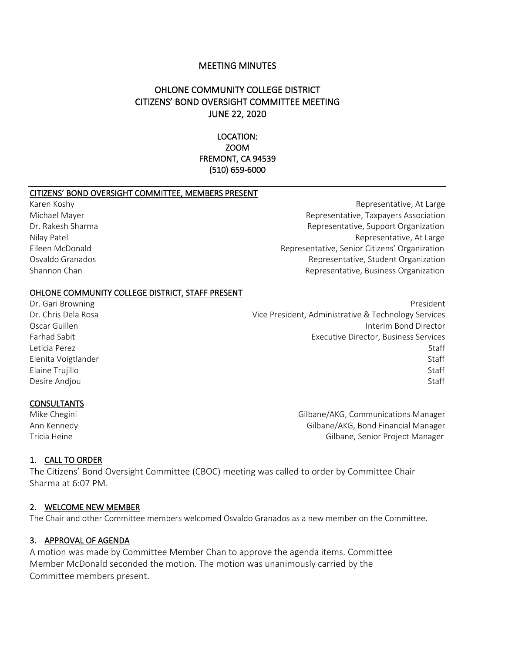## MEETING MINUTES

# OHLONE COMMUNITY COLLEGE DISTRICT CITIZENS' BOND OVERSIGHT COMMITTEE MEETING JUNE 22, 2020

LOCATION: ZOOM FREMONT, CA 94539 (510) 659-6000

#### CITIZENS' BOND OVERSIGHT COMMITTEE, MEMBERS PRESENT

Karen Koshy Representative, At Large Michael Mayer Representative, Taxpayers Association Dr. Rakesh Sharma **Representative, Support Organization** Nilay Patel **Nilay Patel Representative, At Large** Representative, At Large Eileen McDonald Representative, Senior Citizens' Organization Osvaldo Granados Representative, Student Organization Shannon Chan **Representative, Business Organization** Representative, Business Organization

#### OHLONE COMMUNITY COLLEGE DISTRICT, STAFF PRESENT

Dr. Gari Browning President Communication of the Communication of the President President President Dr. Chris Dela Rosa Vice President, Administrative & Technology Services Oscar Guillen Interim Bond Director Farhad Sabit Executive Director, Business Services Leticia Perez Staff Elenita Voigtlander Staff Elaine Trujillo Staff Desire Andjou Staff

#### **CONSULTANTS**

Mike Chegini Gilbane/AKG, Communications Manager Ann Kennedy Gilbane/AKG, Bond Financial Manager Tricia Heine Gilbane, Senior Project Manager

#### 1. CALL TO ORDER

The Citizens' Bond Oversight Committee (CBOC) meeting was called to order by Committee Chair Sharma at 6:07 PM.

#### 2. WELCOME NEW MEMBER

The Chair and other Committee members welcomed Osvaldo Granados as a new member on the Committee.

### 3. APPROVAL OF AGENDA

A motion was made by Committee Member Chan to approve the agenda items. Committee Member McDonald seconded the motion. The motion was unanimously carried by the Committee members present.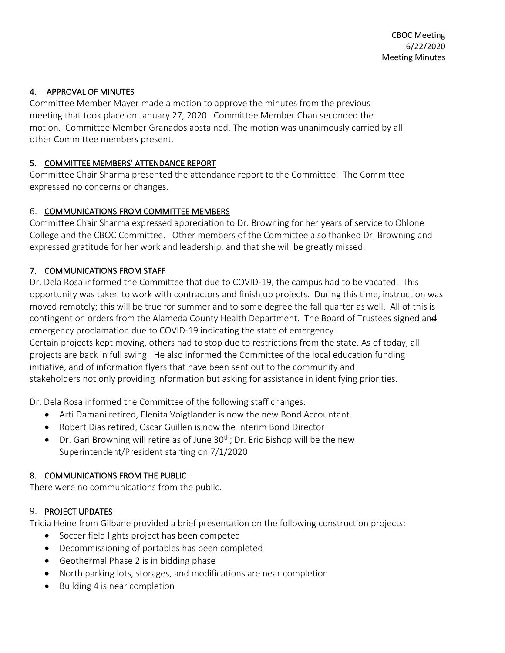# 4. APPROVAL OF MINUTES

Committee Member Mayer made a motion to approve the minutes from the previous meeting that took place on January 27, 2020. Committee Member Chan seconded the motion. Committee Member Granados abstained. The motion was unanimously carried by all other Committee members present.

## 5. COMMITTEE MEMBERS' ATTENDANCE REPORT

Committee Chair Sharma presented the attendance report to the Committee. The Committee expressed no concerns or changes.

## 6. COMMUNICATIONS FROM COMMITTEE MEMBERS

Committee Chair Sharma expressed appreciation to Dr. Browning for her years of service to Ohlone College and the CBOC Committee. Other members of the Committee also thanked Dr. Browning and expressed gratitude for her work and leadership, and that she will be greatly missed.

# 7. COMMUNICATIONS FROM STAFF

Dr. Dela Rosa informed the Committee that due to COVID-19, the campus had to be vacated. This opportunity was taken to work with contractors and finish up projects. During this time, instruction was moved remotely; this will be true for summer and to some degree the fall quarter as well. All of this is contingent on orders from the Alameda County Health Department. The Board of Trustees signed and emergency proclamation due to COVID-19 indicating the state of emergency. Certain projects kept moving, others had to stop due to restrictions from the state. As of today, all projects are back in full swing. He also informed the Committee of the local education funding initiative, and of information flyers that have been sent out to the community and

stakeholders not only providing information but asking for assistance in identifying priorities.

Dr. Dela Rosa informed the Committee of the following staff changes:

- Arti Damani retired, Elenita Voigtlander is now the new Bond Accountant
- Robert Dias retired, Oscar Guillen is now the Interim Bond Director
- Dr. Gari Browning will retire as of June  $30<sup>th</sup>$ ; Dr. Eric Bishop will be the new Superintendent/President starting on 7/1/2020

## 8. COMMUNICATIONS FROM THE PUBLIC

There were no communications from the public.

# 9. PROJECT UPDATES

Tricia Heine from Gilbane provided a brief presentation on the following construction projects:

- Soccer field lights project has been competed
- Decommissioning of portables has been completed
- Geothermal Phase 2 is in bidding phase
- North parking lots, storages, and modifications are near completion
- Building 4 is near completion